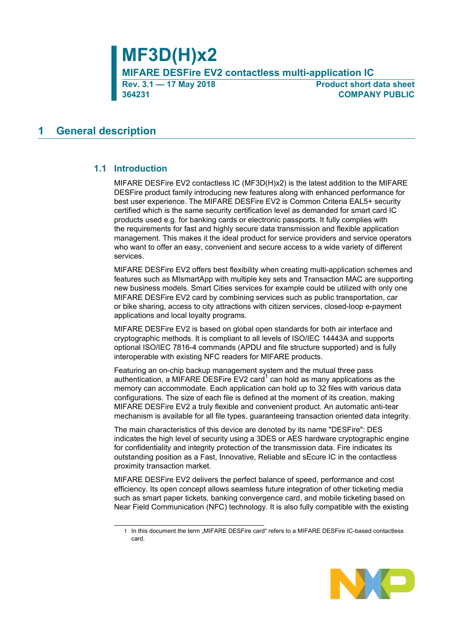**Rev. 3.1 — 17 May 2018 Product short data sheet 364231 COMPANY PUBLIC**

## <span id="page-0-0"></span>**1 General description**

### **1.1 Introduction**

<span id="page-0-1"></span>MIFARE DESFire EV2 contactless IC (MF3D(H)x2) is the latest addition to the MIFARE DESFire product family introducing new features along with enhanced performance for best user experience. The MIFARE DESFire EV2 is Common Criteria EAL5+ security certified which is the same security certification level as demanded for smart card IC products used e.g. for banking cards or electronic passports. It fully complies with the requirements for fast and highly secure data transmission and flexible application management. This makes it the ideal product for service providers and service operators who want to offer an easy, convenient and secure access to a wide variety of different services.

MIFARE DESFire EV2 offers best flexibility when creating multi-application schemes and features such as MIsmartApp with multiple key sets and Transaction MAC are supporting new business models. Smart Cities services for example could be utilized with only one MIFARE DESFire EV2 card by combining services such as public transportation, car or bike sharing, access to city attractions with citizen services, closed-loop e-payment applications and local loyalty programs.

MIFARE DESFire EV2 is based on global open standards for both air interface and cryptographic methods. It is compliant to all levels of ISO/IEC 14443A and supports optional ISO/IEC 7816-4 commands (APDU and file structure supported) and is fully interoperable with existing NFC readers for MIFARE products.

Featuring an on-chip backup management system and the mutual three pass authentication, a MIFARE DESFire EV2 card<sup>1</sup> can hold as many applications as the memory can accommodate. Each application can hold up to 32 files with various data configurations. The size of each file is defined at the moment of its creation, making MIFARE DESFire EV2 a truly flexible and convenient product. An automatic anti-tear mechanism is available for all file types, guaranteeing transaction oriented data integrity.

The main characteristics of this device are denoted by its name "DESFire": DES indicates the high level of security using a 3DES or AES hardware cryptographic engine for confidentiality and integrity protection of the transmission data. Fire indicates its outstanding position as a Fast, Innovative, Reliable and sEcure IC in the contactless proximity transaction market.

MIFARE DESFire EV2 delivers the perfect balance of speed, performance and cost efficiency. Its open concept allows seamless future integration of other ticketing media such as smart paper tickets, banking convergence card, and mobile ticketing based on Near Field Communication (NFC) technology. It is also fully compatible with the existing

<sup>1</sup> In this document the term "MIFARE DESFire card" refers to a MIFARE DESFire IC-based contactless card.

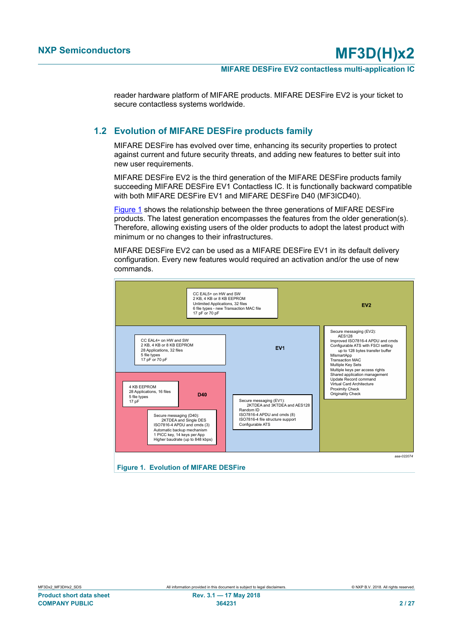reader hardware platform of MIFARE products. MIFARE DESFire EV2 is your ticket to secure contactless systems worldwide.

### **1.2 Evolution of MIFARE DESFire products family**

<span id="page-1-1"></span>MIFARE DESFire has evolved over time, enhancing its security properties to protect against current and future security threats, and adding new features to better suit into new user requirements.

MIFARE DESFire EV2 is the third generation of the MIFARE DESFire products family succeeding MIFARE DESFire EV1 Contactless IC. It is functionally backward compatible with both MIFARE DESFire EV1 and MIFARE DESFire D40 (MF3ICD40).

[Figure 1](#page-1-0) shows the relationship between the three generations of MIFARE DESFire products. The latest generation encompasses the features from the older generation(s). Therefore, allowing existing users of the older products to adopt the latest product with minimum or no changes to their infrastructures.

MIFARE DESFire EV2 can be used as a MIFARE DESFire EV1 in its default delivery configuration. Every new features would required an activation and/or the use of new commands.

<span id="page-1-0"></span>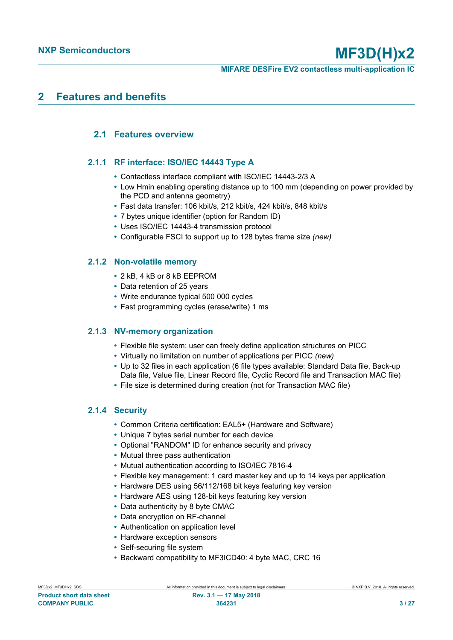## <span id="page-2-0"></span>**2 Features and benefits**

### <span id="page-2-1"></span>**2.1 Features overview**

### **2.1.1 RF interface: ISO/IEC 14443 Type A**

- <span id="page-2-2"></span>**•** Contactless interface compliant with ISO/IEC 14443-2/3 A
- **•** Low Hmin enabling operating distance up to 100 mm (depending on power provided by the PCD and antenna geometry)
- **•** Fast data transfer: 106 kbit/s, 212 kbit/s, 424 kbit/s, 848 kbit/s
- **•** 7 bytes unique identifier (option for Random ID)
- **•** Uses ISO/IEC 14443-4 transmission protocol
- **•** Configurable FSCI to support up to 128 bytes frame size *(new)*

### **2.1.2 Non-volatile memory**

- <span id="page-2-3"></span>**•** 2 kB, 4 kB or 8 kB EEPROM
- **•** Data retention of 25 years
- **•** Write endurance typical 500 000 cycles
- **•** Fast programming cycles (erase/write) 1 ms

### **2.1.3 NV-memory organization**

- <span id="page-2-4"></span>**•** Flexible file system: user can freely define application structures on PICC
- **•** Virtually no limitation on number of applications per PICC *(new)*
- **•** Up to 32 files in each application (6 file types available: Standard Data file, Back-up Data file, Value file, Linear Record file, Cyclic Record file and Transaction MAC file)
- **•** File size is determined during creation (not for Transaction MAC file)

### **2.1.4 Security**

- <span id="page-2-5"></span>**•** Common Criteria certification: EAL5+ (Hardware and Software)
- **•** Unique 7 bytes serial number for each device
- **•** Optional "RANDOM" ID for enhance security and privacy
- **•** Mutual three pass authentication
- **•** Mutual authentication according to ISO/IEC 7816-4
- **•** Flexible key management: 1 card master key and up to 14 keys per application
- **•** Hardware DES using 56/112/168 bit keys featuring key version
- **•** Hardware AES using 128-bit keys featuring key version
- **•** Data authenticity by 8 byte CMAC
- **•** Data encryption on RF-channel
- **•** Authentication on application level
- **•** Hardware exception sensors
- **•** Self-securing file system
- **•** Backward compatibility to MF3ICD40: 4 byte MAC, CRC 16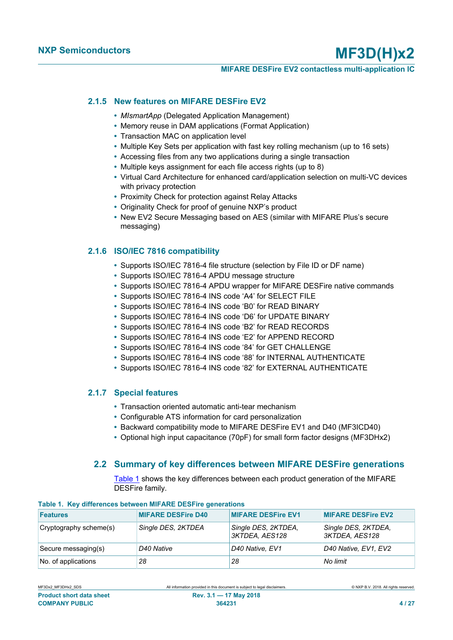### **MIFARE DESFire EV2 contactless multi-application IC**

### **2.1.5 New features on MIFARE DESFire EV2**

- <span id="page-3-1"></span>**•** *MIsmartApp* (Delegated Application Management)
- **•** Memory reuse in DAM applications (Format Application)
- **•** Transaction MAC on application level
- **•** Multiple Key Sets per application with fast key rolling mechanism (up to 16 sets)
- **•** Accessing files from any two applications during a single transaction
- **•** Multiple keys assignment for each file access rights (up to 8)
- **•** Virtual Card Architecture for enhanced card/application selection on multi-VC devices with privacy protection
- **•** Proximity Check for protection against Relay Attacks
- **•** Originality Check for proof of genuine NXP's product
- **•** New EV2 Secure Messaging based on AES (similar with MIFARE Plus's secure messaging)

### **2.1.6 ISO/IEC 7816 compatibility**

- <span id="page-3-2"></span>**•** Supports ISO/IEC 7816-4 file structure (selection by File ID or DF name)
- **•** Supports ISO/IEC 7816-4 APDU message structure
- **•** Supports ISO/IEC 7816-4 APDU wrapper for MIFARE DESFire native commands
- **•** Supports ISO/IEC 7816-4 INS code 'A4' for SELECT FILE
- **•** Supports ISO/IEC 7816-4 INS code 'B0' for READ BINARY
- **•** Supports ISO/IEC 7816-4 INS code 'D6' for UPDATE BINARY
- **•** Supports ISO/IEC 7816-4 INS code 'B2' for READ RECORDS
- **•** Supports ISO/IEC 7816-4 INS code 'E2' for APPEND RECORD
- **•** Supports ISO/IEC 7816-4 INS code '84' for GET CHALLENGE
- **•** Supports ISO/IEC 7816-4 INS code '88' for INTERNAL AUTHENTICATE
- **•** Supports ISO/IEC 7816-4 INS code '82' for EXTERNAL AUTHENTICATE

### **2.1.7 Special features**

- <span id="page-3-3"></span>**•** Transaction oriented automatic anti-tear mechanism
- **•** Configurable ATS information for card personalization
- **•** Backward compatibility mode to MIFARE DESFire EV1 and D40 (MF3ICD40)
- **•** Optional high input capacitance (70pF) for small form factor designs (MF3DHx2)

### **2.2 Summary of key differences between MIFARE DESFire generations**

<span id="page-3-4"></span><span id="page-3-0"></span>[Table 1](#page-3-0) shows the key differences between each product generation of the MIFARE DESFire family.

| <b>Features</b>        | <b>MIFARE DESFire D40</b> | <b>MIFARE DESFire EV1</b>               | <b>MIFARE DESFire EV2</b>             |
|------------------------|---------------------------|-----------------------------------------|---------------------------------------|
| Cryptography scheme(s) | Single DES, 2KTDEA        | Single DES, 2KTDEA,<br>3KTDEA, AES128   | Single DES, 2KTDEA,<br>3KTDEA, AES128 |
| Secure messaging(s)    | D40 Native                | D <sub>40</sub> Native, EV <sub>1</sub> | D40 Native, EV1, EV2                  |
| No. of applications    | 28                        | 28                                      | No limit                              |

### **Table 1. Key differences between MIFARE DESFire generations**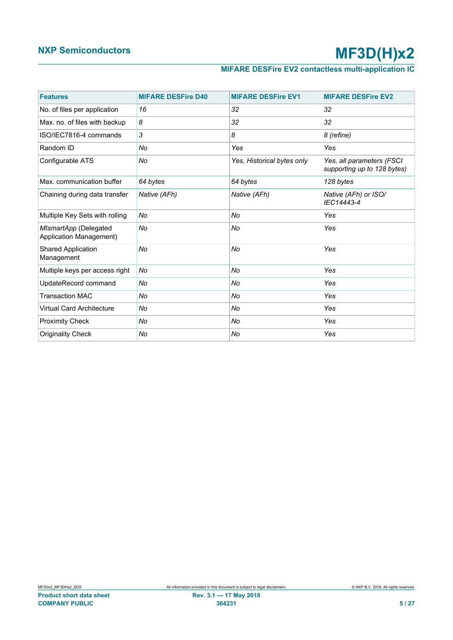## **MIFARE DESFire EV2 contactless multi-application IC**

| <b>Features</b>                                  | <b>MIFARE DESFire D40</b> | <b>MIFARE DESFire EV1</b>  | <b>MIFARE DESFire EV2</b>                                |
|--------------------------------------------------|---------------------------|----------------------------|----------------------------------------------------------|
| No. of files per application                     | 16                        | 32                         | 32                                                       |
| Max. no. of files with backup                    | 8                         | 32                         | 32                                                       |
| ISO/IEC7816-4 commands                           | 3                         | 8                          | 8 (refine)                                               |
| Random ID                                        | No                        | Yes                        | Yes                                                      |
| Configurable ATS                                 | No                        | Yes, Historical bytes only | Yes, all parameters (FSCI<br>supporting up to 128 bytes) |
| Max. communication buffer                        | 64 bytes                  | 64 bytes                   | 128 bytes                                                |
| Chaining during data transfer                    | Native (AFh)              | Native (AFh)               | Native (AFh) or ISO/<br>IEC14443-4                       |
| Multiple Key Sets with rolling                   | No                        | No                         | Yes                                                      |
| MIsmartApp (Delegated<br>Application Management) | No                        | No                         | Yes                                                      |
| Shared Application<br>Management                 | No                        | No                         | Yes                                                      |
| Multiple keys per access right                   | No                        | No                         | Yes                                                      |
| UpdateRecord command                             | No                        | No                         | Yes                                                      |
| <b>Transaction MAC</b>                           | No                        | No                         | Yes                                                      |
| Virtual Card Architecture                        | No                        | No                         | Yes                                                      |
| <b>Proximity Check</b>                           | No                        | No                         | Yes                                                      |
| <b>Originality Check</b>                         | No                        | No                         | Yes                                                      |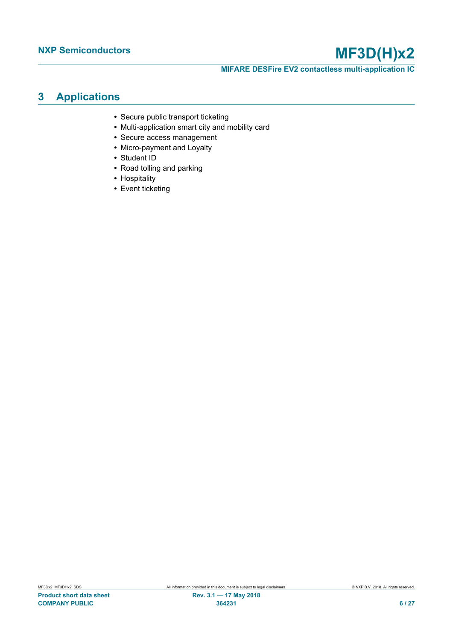**MIFARE DESFire EV2 contactless multi-application IC**

## <span id="page-5-0"></span>**3 Applications**

- **•** Secure public transport ticketing
- **•** Multi-application smart city and mobility card
- **•** Secure access management
- **•** Micro-payment and Loyalty
- **•** Student ID
- **•** Road tolling and parking
- **•** Hospitality
- **•** Event ticketing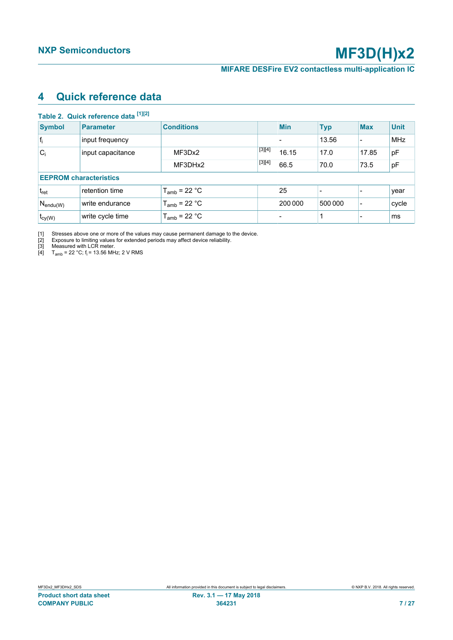## <span id="page-6-5"></span><span id="page-6-1"></span><span id="page-6-0"></span>**4 Quick reference data**

<span id="page-6-4"></span><span id="page-6-3"></span><span id="page-6-2"></span>

|                            | Table 2. Quick reference data [1][2] |                   |       |            |            |                          |             |
|----------------------------|--------------------------------------|-------------------|-------|------------|------------|--------------------------|-------------|
| <b>Symbol</b>              | <b>Parameter</b>                     | <b>Conditions</b> |       | <b>Min</b> | <b>Typ</b> | <b>Max</b>               | <b>Unit</b> |
| $ f_i $                    | input frequency                      |                   |       |            | 13.56      |                          | <b>MHz</b>  |
| $C_i$<br>input capacitance | MF3Dx2                               | $[3][4]$          | 16.15 | 17.0       | 17.85      | pF                       |             |
|                            | MF3DHx2                              | $[3][4]$          | 66.5  | 70.0       | 73.5       | pF                       |             |
|                            | <b>EEPROM characteristics</b>        |                   |       |            |            |                          |             |
| $t_{\rm ret}$              | retention time                       | $T_{amb}$ = 22 °C |       | 25         |            |                          | year        |
| $ N_{\text{endu}(W)} $     | write endurance                      | $T_{amb}$ = 22 °C |       | 200 000    | 500 000    | $\overline{\phantom{0}}$ | cycle       |
| $t_{cy(W)}$                | write cycle time                     | $T_{amb}$ = 22 °C |       |            |            |                          | ms          |

[1] Stresses above one or more of the values may cause permanent damage to the device.

[2] Exposure to limiting values for extended periods may affect device reliability.

[3] Measured with LCR meter.

[4]  $T_{amb}$  = 22 °C; f<sub>i</sub> = 13.56 MHz; 2 V RMS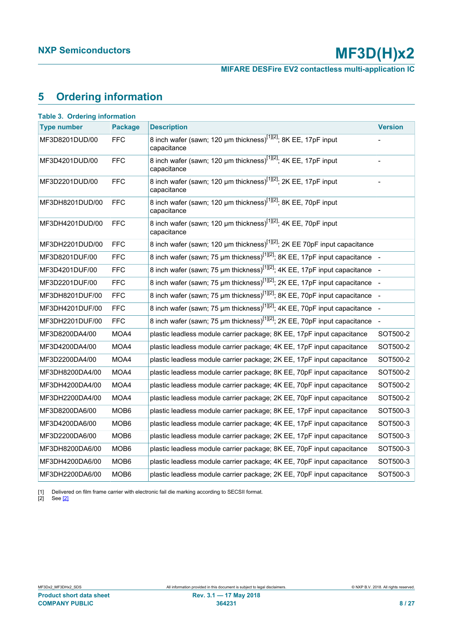**MIFARE DESFire EV2 contactless multi-application IC**

## <span id="page-7-3"></span><span id="page-7-1"></span><span id="page-7-0"></span>**5 Ordering information**

<span id="page-7-2"></span>

| <b>Type number</b> | <b>Package</b>   | <b>Description</b>                                                                         | <b>Version</b> |
|--------------------|------------------|--------------------------------------------------------------------------------------------|----------------|
| MF3D8201DUD/00     | FFC              | 8 inch wafer (sawn; 120 µm thickness) <sup>[1][2]</sup> ; 8K EE, 17pF input<br>capacitance |                |
| MF3D4201DUD/00     | <b>FFC</b>       | 8 inch wafer (sawn; 120 µm thickness) <sup>[1][2]</sup> ; 4K EE, 17pF input<br>capacitance |                |
| MF3D2201DUD/00     | FFC              | 8 inch wafer (sawn; 120 µm thickness) <sup>[1][2]</sup> ; 2K EE, 17pF input<br>capacitance |                |
| MF3DH8201DUD/00    | <b>FFC</b>       | 8 inch wafer (sawn; 120 µm thickness) <sup>[1][2]</sup> ; 8K EE, 70pF input<br>capacitance |                |
| MF3DH4201DUD/00    | <b>FFC</b>       | 8 inch wafer (sawn; 120 µm thickness) <sup>[1][2]</sup> ; 4K EE, 70pF input<br>capacitance |                |
| MF3DH2201DUD/00    | FFC              | 8 inch wafer (sawn; 120 µm thickness) <sup>[1][2]</sup> ; 2K EE 70pF input capacitance     |                |
| MF3D8201DUF/00     | FFC              | 8 inch wafer (sawn; 75 µm thickness) <sup>[1][2]</sup> ; 8K EE, 17pF input capacitance     |                |
| MF3D4201DUF/00     | <b>FFC</b>       | 8 inch wafer (sawn; 75 µm thickness) <sup>[1][2]</sup> ; 4K EE, 17pF input capacitance     |                |
| MF3D2201DUF/00     | <b>FFC</b>       | 8 inch wafer (sawn; 75 µm thickness) <sup>[1][2]</sup> ; 2K EE, 17pF input capacitance     |                |
| MF3DH8201DUF/00    | FFC              | 8 inch wafer (sawn; 75 µm thickness) <sup>[1][2]</sup> ; 8K EE, 70pF input capacitance     |                |
| MF3DH4201DUF/00    | <b>FFC</b>       | 8 inch wafer (sawn; 75 µm thickness) <sup>[1][2]</sup> ; 4K EE, 70pF input capacitance     |                |
| MF3DH2201DUF/00    | <b>FFC</b>       | 8 inch wafer (sawn; 75 µm thickness) <sup>[1][2]</sup> ; 2K EE, 70pF input capacitance     |                |
| MF3D8200DA4/00     | MOA4             | plastic leadless module carrier package; 8K EE, 17pF input capacitance                     | SOT500-2       |
| MF3D4200DA4/00     | MOA4             | plastic leadless module carrier package; 4K EE, 17pF input capacitance                     | SOT500-2       |
| MF3D2200DA4/00     | MOA4             | plastic leadless module carrier package; 2K EE, 17pF input capacitance                     | SOT500-2       |
| MF3DH8200DA4/00    | MOA4             | plastic leadless module carrier package; 8K EE, 70pF input capacitance                     | SOT500-2       |
| MF3DH4200DA4/00    | MOA4             | plastic leadless module carrier package; 4K EE, 70pF input capacitance                     | SOT500-2       |
| MF3DH2200DA4/00    | MOA4             | plastic leadless module carrier package; 2K EE, 70pF input capacitance                     | SOT500-2       |
| MF3D8200DA6/00     | MOB <sub>6</sub> | plastic leadless module carrier package; 8K EE, 17pF input capacitance                     | SOT500-3       |
| MF3D4200DA6/00     | MOB <sub>6</sub> | plastic leadless module carrier package; 4K EE, 17pF input capacitance                     | SOT500-3       |
| MF3D2200DA6/00     | MOB <sub>6</sub> | plastic leadless module carrier package; 2K EE, 17pF input capacitance                     | SOT500-3       |
| MF3DH8200DA6/00    | MOB6             | plastic leadless module carrier package; 8K EE, 70pF input capacitance                     | SOT500-3       |
| MF3DH4200DA6/00    | MOB <sub>6</sub> | plastic leadless module carrier package; 4K EE, 70pF input capacitance                     | SOT500-3       |
| MF3DH2200DA6/00    | MOB <sub>6</sub> | plastic leadless module carrier package; 2K EE, 70pF input capacitance                     | SOT500-3       |

[1] Delivered on film frame carrier with electronic fail die marking according to SECSII format.<br>[2] See [2]

[2] See [\[2\]](#page-20-0)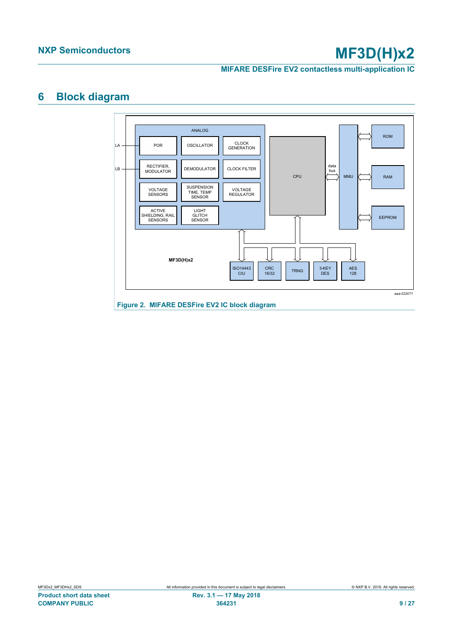**MIFARE DESFire EV2 contactless multi-application IC**

## <span id="page-8-1"></span>**6 Block diagram**

<span id="page-8-0"></span>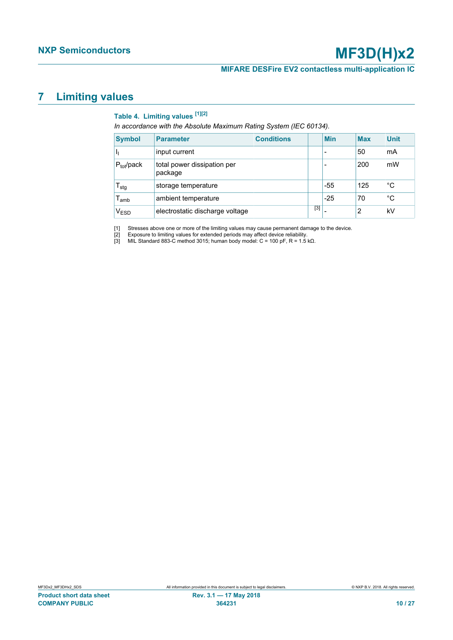### **MIFARE DESFire EV2 contactless multi-application IC**

## <span id="page-9-4"></span>**7 Limiting values**

## <span id="page-9-3"></span><span id="page-9-2"></span><span id="page-9-1"></span><span id="page-9-0"></span>**Table 4. Limiting values [\[1\]](#page-9-0)[\[2\]](#page-9-1)**

*In accordance with the Absolute Maximum Rating System (IEC 60134).*

| <b>Symbol</b>               | <b>Parameter</b>                       | <b>Conditions</b> |       | <b>Min</b>               | <b>Max</b> | <b>Unit</b> |
|-----------------------------|----------------------------------------|-------------------|-------|--------------------------|------------|-------------|
| ч                           | input current                          |                   |       | $\overline{\phantom{a}}$ | 50         | mA          |
| $P_{tot}/pack$              | total power dissipation per<br>package |                   |       |                          | 200        | mW          |
| $\mathsf{T}_{\textsf{stg}}$ | storage temperature                    |                   |       | -55                      | 125        | °C          |
| $\mathsf{T}_{\mathsf{amb}}$ | ambient temperature                    |                   |       | $-25$                    | 70         | °C          |
| $\mathsf{V}_{\mathsf{ESD}}$ | electrostatic discharge voltage        |                   | $[3]$ |                          | 2          | kV          |

[1] Stresses above one or more of the limiting values may cause permanent damage to the device.<br>[2] Exposure to limiting values for extended periods may affect device reliability.<br>[3] MIL Standard 883-C method 3015; human

[2] Exposure to limiting values for extended periods may affect device reliability.

[3] MIL Standard 883-C method 3015; human body model: C = 100 pF, R = 1.5 kΩ.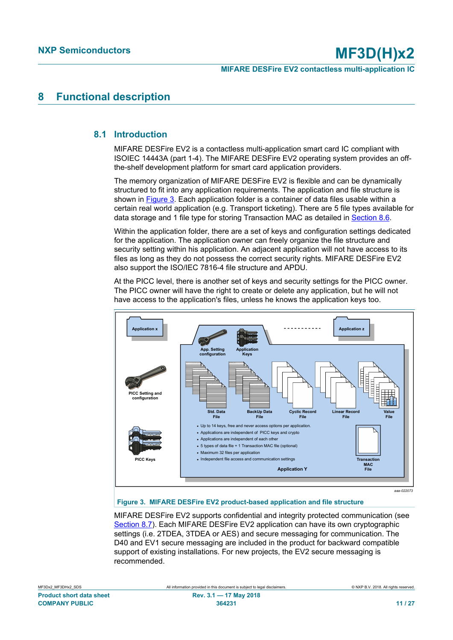## <span id="page-10-1"></span>**8 Functional description**

### **8.1 Introduction**

<span id="page-10-2"></span>MIFARE DESFire EV2 is a contactless multi-application smart card IC compliant with ISOIEC 14443A (part 1-4). The MIFARE DESFire EV2 operating system provides an offthe-shelf development platform for smart card application providers.

The memory organization of MIFARE DESFire EV2 is flexible and can be dynamically structured to fit into any application requirements. The application and file structure is shown in [Figure 3.](#page-10-0) Each application folder is a container of data files usable within a certain real world application (e.g. Transport ticketing). There are 5 file types available for data storage and 1 file type for storing Transaction MAC as detailed in [Section 8.6](#page-12-0).

Within the application folder, there are a set of keys and configuration settings dedicated for the application. The application owner can freely organize the file structure and security setting within his application. An adjacent application will not have access to its files as long as they do not possess the correct security rights. MIFARE DESFire EV2 also support the ISO/IEC 7816-4 file structure and APDU.

At the PICC level, there is another set of keys and security settings for the PICC owner. The PICC owner will have the right to create or delete any application, but he will not have access to the application's files, unless he knows the application keys too.

<span id="page-10-0"></span>

#### **Figure 3. MIFARE DESFire EV2 product-based application and file structure**

MIFARE DESFire EV2 supports confidential and integrity protected communication (see [Section 8.7\)](#page-12-1). Each MIFARE DESFire EV2 application can have its own cryptographic settings (i.e. 2TDEA, 3TDEA or AES) and secure messaging for communication. The D40 and EV1 secure messaging are included in the product for backward compatible support of existing installations. For new projects, the EV2 secure messaging is recommended.

| MF3Dx2 MF3DHx2 SDS              |
|---------------------------------|
| <b>Product short data sheet</b> |
| <b>COMPANY PUBLIC</b>           |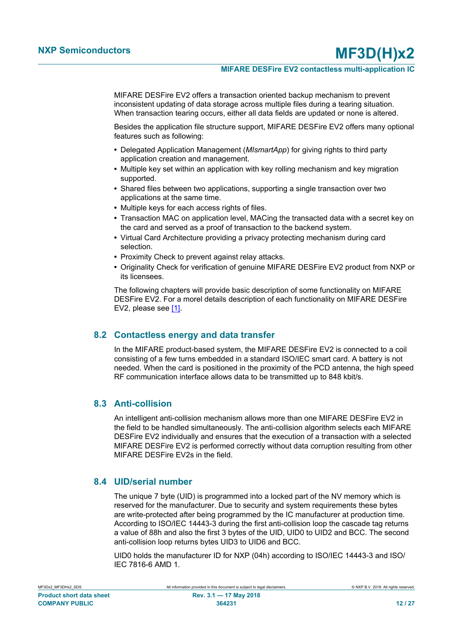### **MIFARE DESFire EV2 contactless multi-application IC**

MIFARE DESFire EV2 offers a transaction oriented backup mechanism to prevent inconsistent updating of data storage across multiple files during a tearing situation. When transaction tearing occurs, either all data fields are updated or none is altered.

Besides the application file structure support, MIFARE DESFire EV2 offers many optional features such as following:

- **•** Delegated Application Management (*MIsmartApp*) for giving rights to third party application creation and management.
- **•** Multiple key set within an application with key rolling mechanism and key migration supported.
- **•** Shared files between two applications, supporting a single transaction over two applications at the same time.
- **•** Multiple keys for each access rights of files.
- **•** Transaction MAC on application level, MACing the transacted data with a secret key on the card and served as a proof of transaction to the backend system.
- **•** Virtual Card Architecture providing a privacy protecting mechanism during card selection.
- **•** Proximity Check to prevent against relay attacks.
- **•** Originality Check for verification of genuine MIFARE DESFire EV2 product from NXP or its licensees.

The following chapters will provide basic description of some functionality on MIFARE DESFire EV2. For a morel details description of each functionality on MIFARE DESFire EV2, please see [\[1\].](#page-20-1)

### **8.2 Contactless energy and data transfer**

<span id="page-11-0"></span>In the MIFARE product-based system, the MIFARE DESFire EV2 is connected to a coil consisting of a few turns embedded in a standard ISO/IEC smart card. A battery is not needed. When the card is positioned in the proximity of the PCD antenna, the high speed RF communication interface allows data to be transmitted up to 848 kbit/s.

### **8.3 Anti-collision**

<span id="page-11-1"></span>An intelligent anti-collision mechanism allows more than one MIFARE DESFire EV2 in the field to be handled simultaneously. The anti-collision algorithm selects each MIFARE DESFire EV2 individually and ensures that the execution of a transaction with a selected MIFARE DESFire EV2 is performed correctly without data corruption resulting from other MIFARE DESFire EV2s in the field.

### **8.4 UID/serial number**

<span id="page-11-2"></span>The unique 7 byte (UID) is programmed into a locked part of the NV memory which is reserved for the manufacturer. Due to security and system requirements these bytes are write-protected after being programmed by the IC manufacturer at production time. According to ISO/IEC 14443-3 during the first anti-collision loop the cascade tag returns a value of 88h and also the first 3 bytes of the UID, UID0 to UID2 and BCC. The second anti-collision loop returns bytes UID3 to UID6 and BCC.

UID0 holds the manufacturer ID for NXP (04h) according to ISO/IEC 14443-3 and ISO/ IEC 7816-6 AMD 1.

| MF3Dx2 MF3DHx2 SDS       |
|--------------------------|
| Product short data sheet |
| <b>COMPANY PUBLIC</b>    |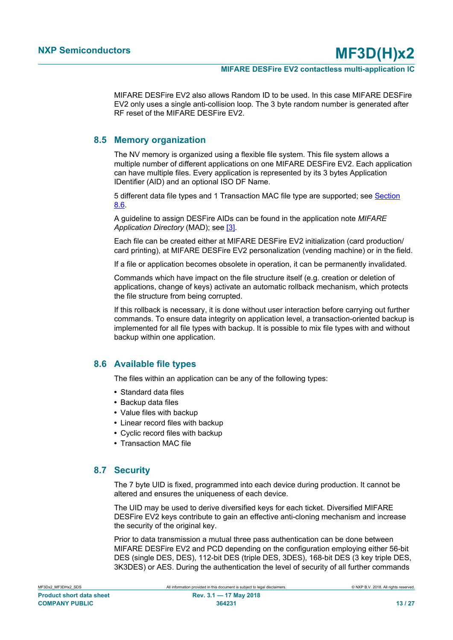MIFARE DESFire EV2 also allows Random ID to be used. In this case MIFARE DESFire EV2 only uses a single anti-collision loop. The 3 byte random number is generated after RF reset of the MIFARE DESFire EV2.

### **8.5 Memory organization**

<span id="page-12-2"></span>The NV memory is organized using a flexible file system. This file system allows a multiple number of different applications on one MIFARE DESFire EV2. Each application can have multiple files. Every application is represented by its 3 bytes Application IDentifier (AID) and an optional ISO DF Name.

5 different data file types and 1 Transaction MAC file type are supported; see [Section](#page-12-0) [8.6.](#page-12-0)

A guideline to assign DESFire AIDs can be found in the application note *MIFARE Application Directory* (MAD); see [\[3\].](#page-20-2)

Each file can be created either at MIFARE DESFire EV2 initialization (card production/ card printing), at MIFARE DESFire EV2 personalization (vending machine) or in the field.

If a file or application becomes obsolete in operation, it can be permanently invalidated.

Commands which have impact on the file structure itself (e.g. creation or deletion of applications, change of keys) activate an automatic rollback mechanism, which protects the file structure from being corrupted.

If this rollback is necessary, it is done without user interaction before carrying out further commands. To ensure data integrity on application level, a transaction-oriented backup is implemented for all file types with backup. It is possible to mix file types with and without backup within one application.

### **8.6 Available file types**

<span id="page-12-0"></span>The files within an application can be any of the following types:

- **•** Standard data files
- **•** Backup data files
- **•** Value files with backup
- **•** Linear record files with backup
- **•** Cyclic record files with backup
- **•** Transaction MAC file

### **8.7 Security**

<span id="page-12-1"></span>The 7 byte UID is fixed, programmed into each device during production. It cannot be altered and ensures the uniqueness of each device.

The UID may be used to derive diversified keys for each ticket. Diversified MIFARE DESFire EV2 keys contribute to gain an effective anti-cloning mechanism and increase the security of the original key.

Prior to data transmission a mutual three pass authentication can be done between MIFARE DESFire EV2 and PCD depending on the configuration employing either 56-bit DES (single DES, DES), 112-bit DES (triple DES, 3DES), 168-bit DES (3 key triple DES, 3K3DES) or AES. During the authentication the level of security of all further commands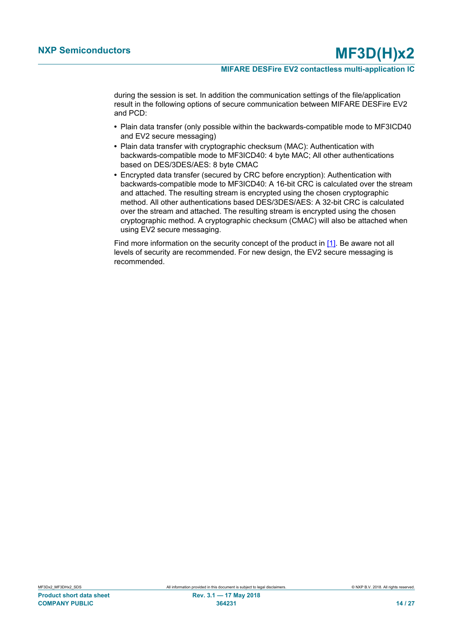during the session is set. In addition the communication settings of the file/application result in the following options of secure communication between MIFARE DESFire EV2 and PCD:

- **•** Plain data transfer (only possible within the backwards-compatible mode to MF3ICD40 and EV2 secure messaging)
- **•** Plain data transfer with cryptographic checksum (MAC): Authentication with backwards-compatible mode to MF3ICD40: 4 byte MAC; All other authentications based on DES/3DES/AES: 8 byte CMAC
- **•** Encrypted data transfer (secured by CRC before encryption): Authentication with backwards-compatible mode to MF3ICD40: A 16-bit CRC is calculated over the stream and attached. The resulting stream is encrypted using the chosen cryptographic method. All other authentications based DES/3DES/AES: A 32-bit CRC is calculated over the stream and attached. The resulting stream is encrypted using the chosen cryptographic method. A cryptographic checksum (CMAC) will also be attached when using EV2 secure messaging.

Find more information on the security concept of the product in [\[1\]](#page-20-1). Be aware not all levels of security are recommended. For new design, the EV2 secure messaging is recommended.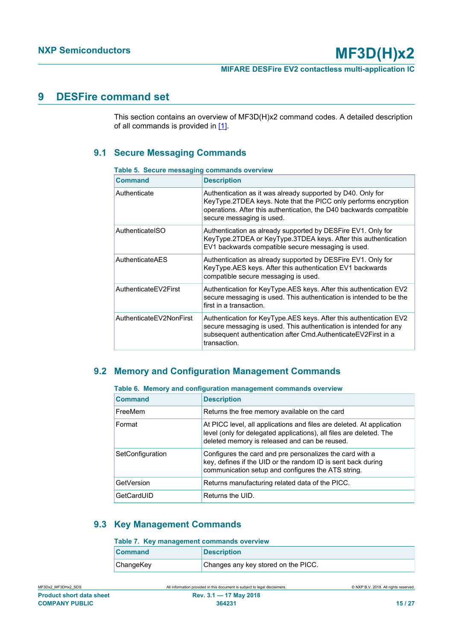## <span id="page-14-3"></span>**9 DESFire command set**

This section contains an overview of MF3D(H)x2 command codes. A detailed description of all commands is provided in  $[1]$ .

## **9.1 Secure Messaging Commands**

| <b>Command</b>          | <b>Description</b>                                                                                                                                                                                                                 |
|-------------------------|------------------------------------------------------------------------------------------------------------------------------------------------------------------------------------------------------------------------------------|
| Authenticate            | Authentication as it was already supported by D40. Only for<br>KeyType.2TDEA keys. Note that the PICC only performs encryption<br>operations. After this authentication, the D40 backwards compatible<br>secure messaging is used. |
| AuthenticateISO         | Authentication as already supported by DESFire EV1. Only for<br>KeyType.2TDEA or KeyType.3TDEA keys. After this authentication<br>EV1 backwards compatible secure messaging is used.                                               |
| AuthenticateAES         | Authentication as already supported by DESFire EV1. Only for<br>KeyType.AES keys. After this authentication EV1 backwards<br>compatible secure messaging is used.                                                                  |
| AuthenticateEV2First    | Authentication for KeyType.AES keys. After this authentication EV2<br>secure messaging is used. This authentication is intended to be the<br>first in a transaction.                                                               |
| AuthenticateEV2NonFirst | Authentication for KeyType.AES keys. After this authentication EV2<br>secure messaging is used. This authentication is intended for any<br>subsequent authentication after Cmd.AuthenticateEV2First in a<br>transaction.           |

#### <span id="page-14-4"></span><span id="page-14-0"></span>**Table 5. Secure messaging commands overview**

### **9.2 Memory and Configuration Management Commands**

| rable 6. Memory and comiguration management commands overview |                                                                                                                                                                                               |  |
|---------------------------------------------------------------|-----------------------------------------------------------------------------------------------------------------------------------------------------------------------------------------------|--|
| <b>Command</b>                                                | <b>Description</b>                                                                                                                                                                            |  |
| FreeMem                                                       | Returns the free memory available on the card                                                                                                                                                 |  |
| Format                                                        | At PICC level, all applications and files are deleted. At application<br>level (only for delegated applications), all files are deleted. The<br>deleted memory is released and can be reused. |  |
| SetConfiguration                                              | Configures the card and pre personalizes the card with a<br>key, defines if the UID or the random ID is sent back during<br>communication setup and configures the ATS string.                |  |
| GetVersion                                                    | Returns manufacturing related data of the PICC.                                                                                                                                               |  |
| GetCardUID                                                    | Returns the UID.                                                                                                                                                                              |  |

## <span id="page-14-5"></span><span id="page-14-1"></span>**Table 6. Memory and configuration management commands overview**

## <span id="page-14-6"></span>**9.3 Key Management Commands**

### <span id="page-14-2"></span>**Table 7. Key management commands overview**

| <b>Command</b> | <b>Description</b>                  |
|----------------|-------------------------------------|
| ChangeKey      | Changes any key stored on the PICC. |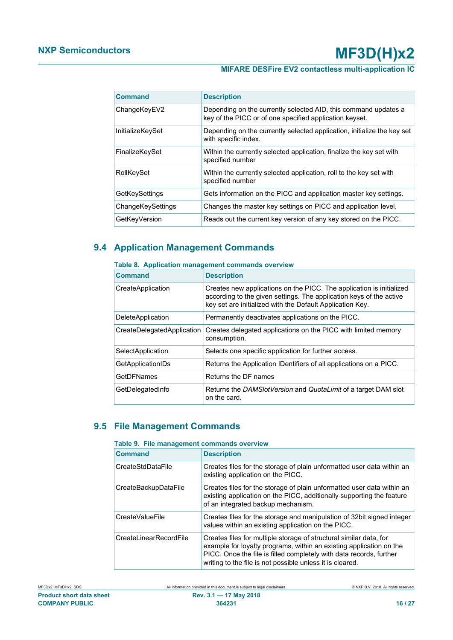## **MIFARE DESFire EV2 contactless multi-application IC**

| <b>Command</b>          | <b>Description</b>                                                                                                         |
|-------------------------|----------------------------------------------------------------------------------------------------------------------------|
| ChangeKeyEV2            | Depending on the currently selected AID, this command updates a<br>key of the PICC or of one specified application keyset. |
| <b>InitializeKeySet</b> | Depending on the currently selected application, initialize the key set<br>with specific index.                            |
| FinalizeKeySet          | Within the currently selected application, finalize the key set with<br>specified number                                   |
| RollKeySet              | Within the currently selected application, roll to the key set with<br>specified number                                    |
| GetKeySettings          | Gets information on the PICC and application master key settings.                                                          |
| ChangeKeySettings       | Changes the master key settings on PICC and application level.                                                             |
| GetKeyVersion           | Reads out the current key version of any key stored on the PICC.                                                           |

## **9.4 Application Management Commands**

### <span id="page-15-2"></span><span id="page-15-0"></span>**Table 8. Application management commands overview**

| <b>Command</b>             | <b>Description</b>                                                                                                                                                                                       |
|----------------------------|----------------------------------------------------------------------------------------------------------------------------------------------------------------------------------------------------------|
| CreateApplication          | Creates new applications on the PICC. The application is initialized<br>according to the given settings. The application keys of the active<br>key set are initialized with the Default Application Key. |
| <b>DeleteApplication</b>   | Permanently deactivates applications on the PICC.                                                                                                                                                        |
| CreateDelegatedApplication | Creates delegated applications on the PICC with limited memory<br>consumption.                                                                                                                           |
| SelectApplication          | Selects one specific application for further access.                                                                                                                                                     |
| GetApplicationIDs          | Returns the Application IDentifiers of all applications on a PICC.                                                                                                                                       |
| <b>GetDFNames</b>          | Returns the DF names                                                                                                                                                                                     |
| GetDelegatedInfo           | Returns the DAMSlotVersion and QuotaLimit of a target DAM slot<br>on the card.                                                                                                                           |

## **9.5 File Management Commands**

### <span id="page-15-3"></span><span id="page-15-1"></span>**Table 9. File management commands overview**

| <b>Command</b>         | <b>Description</b>                                                                                                                                                                                                                                                            |  |  |
|------------------------|-------------------------------------------------------------------------------------------------------------------------------------------------------------------------------------------------------------------------------------------------------------------------------|--|--|
| CreateStdDataFile      | Creates files for the storage of plain unformatted user data within an<br>existing application on the PICC.                                                                                                                                                                   |  |  |
| CreateBackupDataFile   | Creates files for the storage of plain unformatted user data within an<br>existing application on the PICC, additionally supporting the feature<br>of an integrated backup mechanism.                                                                                         |  |  |
| CreateValueFile        | Creates files for the storage and manipulation of 32bit signed integer<br>values within an existing application on the PICC.                                                                                                                                                  |  |  |
| CreateLinearRecordFile | Creates files for multiple storage of structural similar data, for<br>example for loyalty programs, within an existing application on the<br>PICC. Once the file is filled completely with data records, further<br>writing to the file is not possible unless it is cleared. |  |  |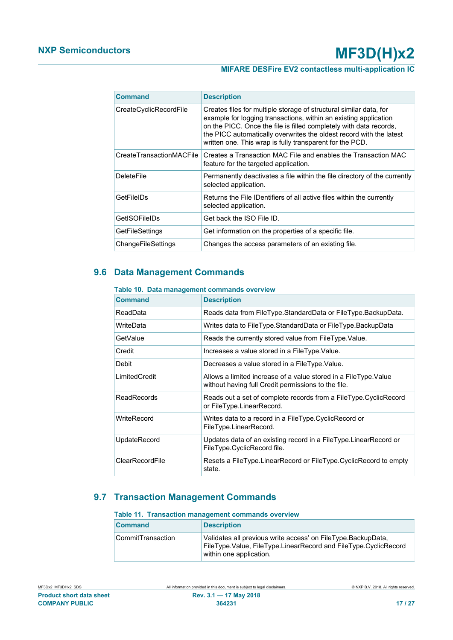| <b>Command</b>           | <b>Description</b>                                                                                                                                                                                                                                                                                                                              |  |
|--------------------------|-------------------------------------------------------------------------------------------------------------------------------------------------------------------------------------------------------------------------------------------------------------------------------------------------------------------------------------------------|--|
| CreateCyclicRecordFile   | Creates files for multiple storage of structural similar data, for<br>example for logging transactions, within an existing application<br>on the PICC. Once the file is filled completely with data records,<br>the PICC automatically overwrites the oldest record with the latest<br>written one. This wrap is fully transparent for the PCD. |  |
| CreateTransactionMACFile | Creates a Transaction MAC File and enables the Transaction MAC<br>feature for the targeted application.                                                                                                                                                                                                                                         |  |
| <b>DeleteFile</b>        | Permanently deactivates a file within the file directory of the currently<br>selected application.                                                                                                                                                                                                                                              |  |
| GetFileIDs               | Returns the File IDentifiers of all active files within the currently<br>selected application.                                                                                                                                                                                                                                                  |  |
| GetISOFileIDs            | Get back the ISO File ID.                                                                                                                                                                                                                                                                                                                       |  |
| <b>GetFileSettings</b>   | Get information on the properties of a specific file.                                                                                                                                                                                                                                                                                           |  |
| ChangeFileSettings       | Changes the access parameters of an existing file.                                                                                                                                                                                                                                                                                              |  |

## **9.6 Data Management Commands**

### <span id="page-16-2"></span><span id="page-16-0"></span>**Table 10. Data management commands overview**

| <b>Command</b>     | <b>Description</b>                                                                                                      |  |  |
|--------------------|-------------------------------------------------------------------------------------------------------------------------|--|--|
| ReadData           | Reads data from FileType.StandardData or FileType.BackupData.                                                           |  |  |
| WriteData          | Writes data to FileType.StandardData or FileType.BackupData                                                             |  |  |
| GetValue           | Reads the currently stored value from FileType. Value.                                                                  |  |  |
| Credit             | Increases a value stored in a FileType. Value.                                                                          |  |  |
| Debit              | Decreases a value stored in a FileType. Value.                                                                          |  |  |
| LimitedCredit      | Allows a limited increase of a value stored in a FileType. Value<br>without having full Credit permissions to the file. |  |  |
| <b>ReadRecords</b> | Reads out a set of complete records from a FileType.CyclicRecord<br>or FileType.LinearRecord.                           |  |  |
| WriteRecord        | Writes data to a record in a FileType.CyclicRecord or<br>FileType.LinearRecord.                                         |  |  |
| UpdateRecord       | Updates data of an existing record in a FileType.LinearRecord or<br>FileType.CyclicRecord file.                         |  |  |
| ClearRecordFile    | Resets a FileType.LinearRecord or FileType.CyclicRecord to empty<br>state.                                              |  |  |

## **9.7 Transaction Management Commands**

#### <span id="page-16-3"></span><span id="page-16-1"></span>**Table 11. Transaction management commands overview**

| <b>Command</b>    | <b>Description</b>                                                                                                                                         |  |
|-------------------|------------------------------------------------------------------------------------------------------------------------------------------------------------|--|
| CommitTransaction | Validates all previous write access' on FileType.BackupData,<br>FileType.Value, FileType.LinearRecord and FileType.CyclicRecord<br>within one application. |  |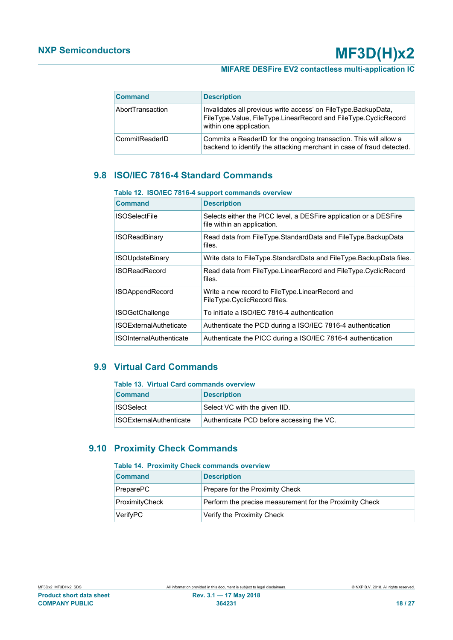| <b>Command</b>   | <b>Description</b>                                                                                                                                           |  |
|------------------|--------------------------------------------------------------------------------------------------------------------------------------------------------------|--|
| AbortTransaction | Invalidates all previous write access' on FileType.BackupData,<br>FileType.Value, FileType.LinearRecord and FileType.CyclicRecord<br>within one application. |  |
| CommitReaderID   | Commits a ReaderID for the ongoing transaction. This will allow a<br>backend to identify the attacking merchant in case of fraud detected.                   |  |

## <span id="page-17-3"></span>**9.8 ISO/IEC 7816-4 Standard Commands**

### <span id="page-17-0"></span>**Table 12. ISO/IEC 7816-4 support commands overview**

| <b>Command</b>                 | <b>Description</b>                                                                               |  |  |
|--------------------------------|--------------------------------------------------------------------------------------------------|--|--|
| <b>ISOSelectFile</b>           | Selects either the PICC level, a DESFire application or a DESFire<br>file within an application. |  |  |
| <b>ISOReadBinary</b>           | Read data from FileType.StandardData and FileType.BackupData<br>files.                           |  |  |
| <b>ISOUpdateBinary</b>         | Write data to FileType.StandardData and FileType.BackupData files.                               |  |  |
| <b>ISOReadRecord</b>           | Read data from FileType.LinearRecord and FileType.CyclicRecord<br>files.                         |  |  |
| <b>ISOAppendRecord</b>         | Write a new record to FileType.LinearRecord and<br>FileType.CyclicRecord files.                  |  |  |
| <b>ISOGetChallenge</b>         | To initiate a ISO/IEC 7816-4 authentication                                                      |  |  |
| <b>ISOExternalAutheticate</b>  | Authenticate the PCD during a ISO/IEC 7816-4 authentication                                      |  |  |
| <b>ISOInternalAuthenticate</b> | Authenticate the PICC during a ISO/IEC 7816-4 authentication                                     |  |  |

## **9.9 Virtual Card Commands**

#### <span id="page-17-4"></span><span id="page-17-1"></span>**Table 13. Virtual Card commands overview**

| <b>Command</b>                 | <b>Description</b>                        |  |
|--------------------------------|-------------------------------------------|--|
| <b>∐SOSelect</b>               | Select VC with the given IID.             |  |
| <b>ISOExternalAuthenticate</b> | Authenticate PCD before accessing the VC. |  |

### **9.10 Proximity Check Commands**

#### <span id="page-17-5"></span><span id="page-17-2"></span>**Table 14. Proximity Check commands overview**

| <b>Command</b> | <b>Description</b>                                      |  |
|----------------|---------------------------------------------------------|--|
| PreparePC      | Prepare for the Proximity Check                         |  |
| ProximityCheck | Perform the precise measurement for the Proximity Check |  |
| VerifyPC       | Verify the Proximity Check                              |  |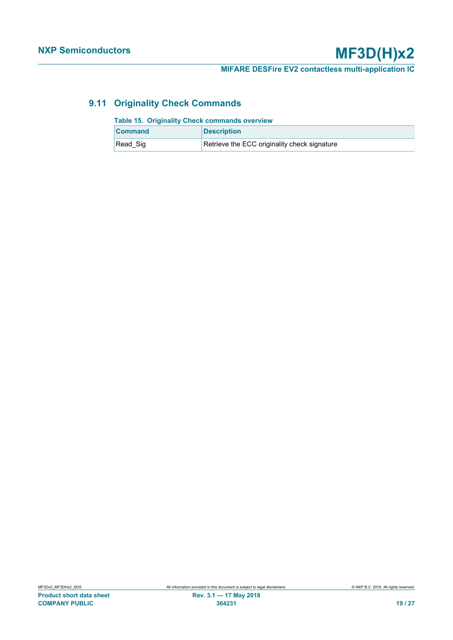**MIFARE DESFire EV2 contactless multi-application IC**

## **9.11 Originality Check Commands**

<span id="page-18-1"></span><span id="page-18-0"></span>

| <b>Table 15. Originality Check commands overview</b> |                                              |  |
|------------------------------------------------------|----------------------------------------------|--|
| <b>Command</b>                                       | <b>Description</b>                           |  |
| Read Sig                                             | Retrieve the ECC originality check signature |  |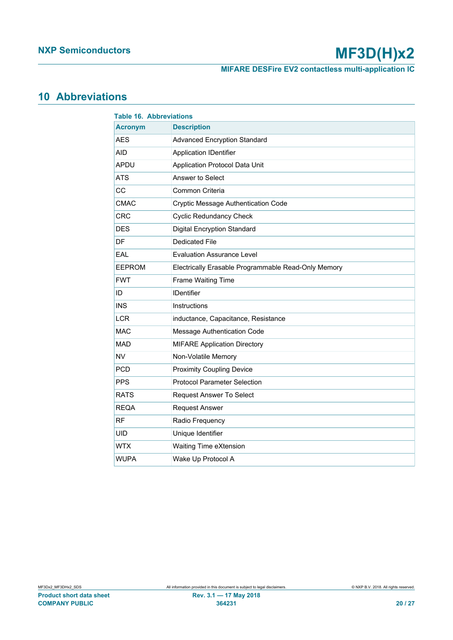**MIFARE DESFire EV2 contactless multi-application IC**

## <span id="page-19-1"></span>**10 Abbreviations**

<span id="page-19-0"></span>

| <b>Table 16. Abbreviations</b> |                                                     |  |
|--------------------------------|-----------------------------------------------------|--|
| <b>Acronym</b>                 | <b>Description</b>                                  |  |
| <b>AES</b>                     | <b>Advanced Encryption Standard</b>                 |  |
| <b>AID</b>                     | <b>Application IDentifier</b>                       |  |
| APDU                           | Application Protocol Data Unit                      |  |
| <b>ATS</b>                     | Answer to Select                                    |  |
| CC                             | Common Criteria                                     |  |
| <b>CMAC</b>                    | <b>Cryptic Message Authentication Code</b>          |  |
| <b>CRC</b>                     | <b>Cyclic Redundancy Check</b>                      |  |
| <b>DES</b>                     | <b>Digital Encryption Standard</b>                  |  |
| DF                             | <b>Dedicated File</b>                               |  |
| EAL                            | <b>Evaluation Assurance Level</b>                   |  |
| <b>EEPROM</b>                  | Electrically Erasable Programmable Read-Only Memory |  |
| <b>FWT</b>                     | Frame Waiting Time                                  |  |
| ID                             | <b>IDentifier</b>                                   |  |
| <b>INS</b>                     | Instructions                                        |  |
| <b>LCR</b>                     | inductance, Capacitance, Resistance                 |  |
| <b>MAC</b>                     | Message Authentication Code                         |  |
| <b>MAD</b>                     | <b>MIFARE Application Directory</b>                 |  |
| <b>NV</b>                      | Non-Volatile Memory                                 |  |
| <b>PCD</b>                     | <b>Proximity Coupling Device</b>                    |  |
| <b>PPS</b>                     | <b>Protocol Parameter Selection</b>                 |  |
| <b>RATS</b>                    | <b>Request Answer To Select</b>                     |  |
| <b>REQA</b>                    | <b>Request Answer</b>                               |  |
| <b>RF</b>                      | Radio Frequency                                     |  |
| <b>UID</b>                     | Unique Identifier                                   |  |
| WTX                            | Waiting Time eXtension                              |  |
| <b>WUPA</b>                    | Wake Up Protocol A                                  |  |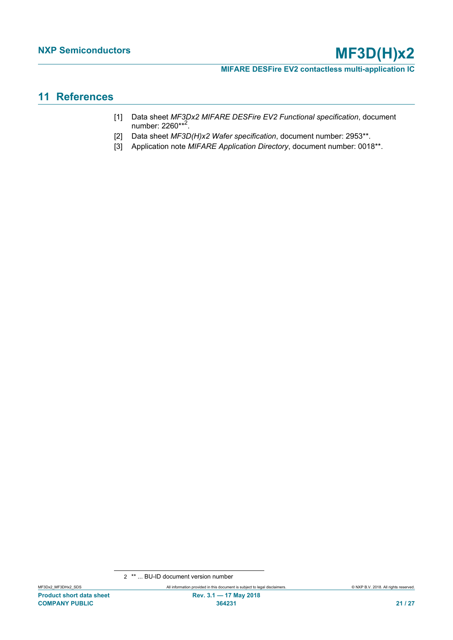**MIFARE DESFire EV2 contactless multi-application IC**

## <span id="page-20-3"></span>**11 References**

- <span id="page-20-1"></span>[1] Data sheet *MF3Dx2 MIFARE DESFire EV2 Functional specification*, document number: 2260\*\*<sup>2</sup>.
- <span id="page-20-0"></span>[2] Data sheet *MF3D(H)x2 Wafer specification*, document number: 2953\*\*.
- <span id="page-20-2"></span>[3] Application note *MIFARE Application Directory*, document number: 0018\*\*.

<sup>2</sup> \*\* ... BU-ID document version number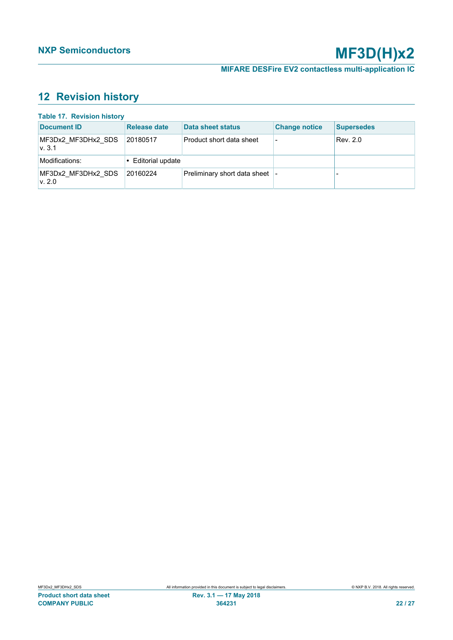## <span id="page-21-1"></span>**12 Revision history**

<span id="page-21-0"></span>

| <b>Table 17. Revision history</b> |                    |                              |                          |                   |
|-----------------------------------|--------------------|------------------------------|--------------------------|-------------------|
| Document ID                       | Release date       | Data sheet status            | <b>Change notice</b>     | <b>Supersedes</b> |
| MF3Dx2_MF3DHx2 SDS<br>v.3.1       | 20180517           | Product short data sheet     | $\overline{\phantom{0}}$ | Rev. 2.0          |
| Modifications:                    | • Editorial update |                              |                          |                   |
| MF3Dx2 MF3DHx2 SDS<br>v. 2.0      | 20160224           | Preliminary short data sheet |                          |                   |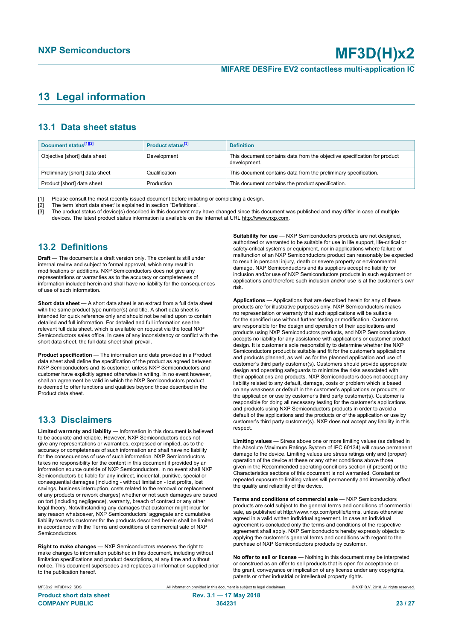## <span id="page-22-0"></span>**13 Legal information**

## **13.1 Data sheet status**

| Document status <sup>[1][2]</sup> | Product status <sup>[3]</sup> | <b>Definition</b>                                                                        |
|-----------------------------------|-------------------------------|------------------------------------------------------------------------------------------|
| Objective [short] data sheet      | Development                   | This document contains data from the objective specification for product<br>development. |
| Preliminary [short] data sheet    | Qualification                 | This document contains data from the preliminary specification.                          |
| Product [short] data sheet        | Production                    | This document contains the product specification.                                        |

[1] Please consult the most recently issued document before initiating or completing a design.

[2] The term 'short data sheet' is explained in section "Definitions".<br>[3] The product status of device(s) described in this document may [3] The product status of device(s) described in this document may have changed since this document was published and may differ in case of multiple devices. The latest product status information is available on the Internet at URL http://www.nxp.com.

## **13.2 Definitions**

**Draft** — The document is a draft version only. The content is still under internal review and subject to formal approval, which may result in modifications or additions. NXP Semiconductors does not give any representations or warranties as to the accuracy or completeness of information included herein and shall have no liability for the consequences of use of such information.

**Short data sheet** — A short data sheet is an extract from a full data sheet with the same product type number(s) and title. A short data sheet is intended for quick reference only and should not be relied upon to contain detailed and full information. For detailed and full information see the relevant full data sheet, which is available on request via the local NXP Semiconductors sales office. In case of any inconsistency or conflict with the short data sheet, the full data sheet shall prevail.

**Product specification** — The information and data provided in a Product data sheet shall define the specification of the product as agreed between NXP Semiconductors and its customer, unless NXP Semiconductors and customer have explicitly agreed otherwise in writing. In no event however, shall an agreement be valid in which the NXP Semiconductors product is deemed to offer functions and qualities beyond those described in the Product data sheet.

### **13.3 Disclaimers**

**Limited warranty and liability** — Information in this document is believed to be accurate and reliable. However, NXP Semiconductors does not give any representations or warranties, expressed or implied, as to the accuracy or completeness of such information and shall have no liability for the consequences of use of such information. NXP Semiconductors takes no responsibility for the content in this document if provided by an information source outside of NXP Semiconductors. In no event shall NXP Semiconductors be liable for any indirect, incidental, punitive, special or consequential damages (including - without limitation - lost profits, lost savings, business interruption, costs related to the removal or replacement of any products or rework charges) whether or not such damages are based on tort (including negligence), warranty, breach of contract or any other legal theory. Notwithstanding any damages that customer might incur for any reason whatsoever, NXP Semiconductors' aggregate and cumulative liability towards customer for the products described herein shall be limited in accordance with the Terms and conditions of commercial sale of NXP **Semiconductors** 

**Right to make changes** — NXP Semiconductors reserves the right to make changes to information published in this document, including without limitation specifications and product descriptions, at any time and without notice. This document supersedes and replaces all information supplied prior to the publication hereof.

**Suitability for use** - NXP Semiconductors products are not designed, authorized or warranted to be suitable for use in life support, life-critical or safety-critical systems or equipment, nor in applications where failure or malfunction of an NXP Semiconductors product can reasonably be expected to result in personal injury, death or severe property or environmental damage. NXP Semiconductors and its suppliers accept no liability for inclusion and/or use of NXP Semiconductors products in such equipment or applications and therefore such inclusion and/or use is at the customer's own risk.

**Applications** — Applications that are described herein for any of these products are for illustrative purposes only. NXP Semiconductors makes no representation or warranty that such applications will be suitable for the specified use without further testing or modification. Customers are responsible for the design and operation of their applications and products using NXP Semiconductors products, and NXP Semiconductors accepts no liability for any assistance with applications or customer product design. It is customer's sole responsibility to determine whether the NXP Semiconductors product is suitable and fit for the customer's applications and products planned, as well as for the planned application and use of customer's third party customer(s). Customers should provide appropriate design and operating safeguards to minimize the risks associated with their applications and products. NXP Semiconductors does not accept any liability related to any default, damage, costs or problem which is based on any weakness or default in the customer's applications or products, or the application or use by customer's third party customer(s). Customer is responsible for doing all necessary testing for the customer's applications and products using NXP Semiconductors products in order to avoid a default of the applications and the products or of the application or use by customer's third party customer(s). NXP does not accept any liability in this respect.

**Limiting values** — Stress above one or more limiting values (as defined in the Absolute Maximum Ratings System of IEC 60134) will cause permanent damage to the device. Limiting values are stress ratings only and (proper) operation of the device at these or any other conditions above those given in the Recommended operating conditions section (if present) or the Characteristics sections of this document is not warranted. Constant or repeated exposure to limiting values will permanently and irreversibly affect the quality and reliability of the device.

**Terms and conditions of commercial sale** — NXP Semiconductors products are sold subject to the general terms and conditions of commercial sale, as published at http://www.nxp.com/profile/terms, unless otherwise agreed in a valid written individual agreement. In case an individual agreement is concluded only the terms and conditions of the respective agreement shall apply. NXP Semiconductors hereby expressly objects to applying the customer's general terms and conditions with regard to the purchase of NXP Semiconductors products by customer.

**No offer to sell or license** — Nothing in this document may be interpreted or construed as an offer to sell products that is open for acceptance or the grant, conveyance or implication of any license under any copyrights, patents or other industrial or intellectual property rights.

MF3Dx2\_MF3DHx2\_SDS All information provided in this document is subject to legal disclaimers. © NXP B.V. 2018. All rights reserved. **Product short data sheet Rev. 3.1 — 17 May 2018 COMPANY PUBLIC 364231 23 / 27**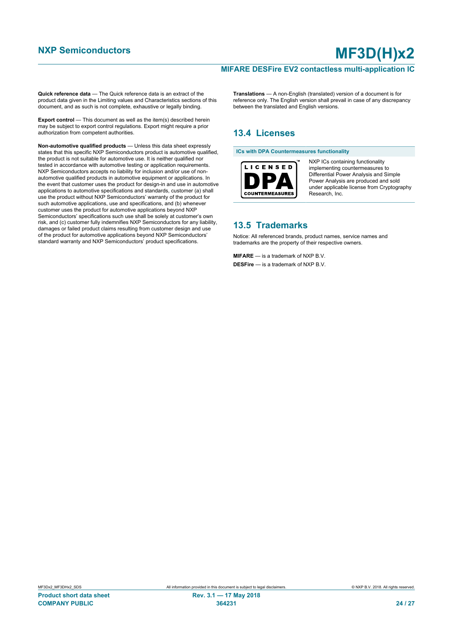### **MIFARE DESFire EV2 contactless multi-application IC**

**Quick reference data** — The Quick reference data is an extract of the product data given in the Limiting values and Characteristics sections of this document, and as such is not complete, exhaustive or legally binding.

**Export control** — This document as well as the item(s) described herein may be subject to export control regulations. Export might require a prior authorization from competent authorities.

**Non-automotive qualified products** — Unless this data sheet expressly states that this specific NXP Semiconductors product is automotive qualified, the product is not suitable for automotive use. It is neither qualified nor tested in accordance with automotive testing or application requirements. NXP Semiconductors accepts no liability for inclusion and/or use of nonautomotive qualified products in automotive equipment or applications. In the event that customer uses the product for design-in and use in automotive applications to automotive specifications and standards, customer (a) shall use the product without NXP Semiconductors' warranty of the product for such automotive applications, use and specifications, and (b) whenever customer uses the product for automotive applications beyond NXP Semiconductors' specifications such use shall be solely at customer's own risk, and (c) customer fully indemnifies NXP Semiconductors for any liability, damages or failed product claims resulting from customer design and use of the product for automotive applications beyond NXP Semiconductors' standard warranty and NXP Semiconductors' product specifications.

**Translations** — A non-English (translated) version of a document is for reference only. The English version shall prevail in case of any discrepancy between the translated and English versions.

## **13.4 Licenses**

#### **ICs with DPA Countermeasures functionality**



NXP ICs containing functionality implementing countermeasures to Differential Power Analysis and Simple Power Analysis are produced and sold under applicable license from Cryptography Research, Inc.

### **13.5 Trademarks**

Notice: All referenced brands, product names, service names and trademarks are the property of their respective owners.

**MIFARE** — is a trademark of NXP B.V. **DESFire** — is a trademark of NXP B.V.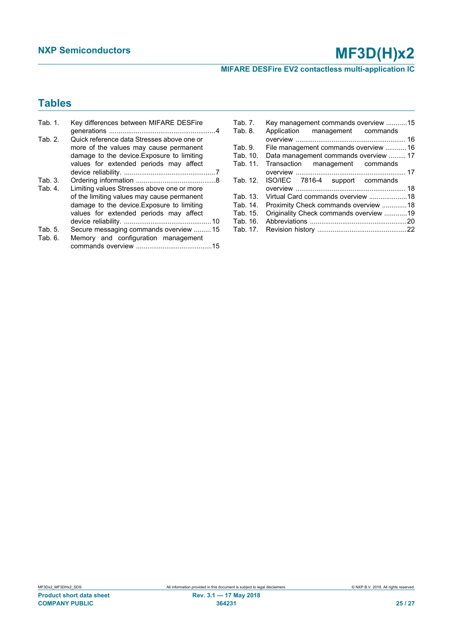**MIFARE DESFire EV2 contactless multi-application IC**

## **Tables**

| Tab. 1. | Key differences between MIFARE DESFire     |
|---------|--------------------------------------------|
|         |                                            |
| Tab. 2. | Quick reference data Stresses above one or |
|         | more of the values may cause permanent     |
|         | damage to the device. Exposure to limiting |
|         |                                            |
|         | values for extended periods may affect     |
|         |                                            |
| Tab. 3. |                                            |
| Tab. 4. | Limiting values Stresses above one or more |
|         | of the limiting values may cause permanent |
|         | damage to the device. Exposure to limiting |
|         |                                            |
|         | values for extended periods may affect     |
|         |                                            |
| Tab. 5. | Secure messaging commands overview  15     |
| Tab. 6. | Memory and configuration management        |
|         |                                            |

| Tab. 7.  | Key management commands overview 15    |  |
|----------|----------------------------------------|--|
| Tab. 8.  | Application management commands        |  |
|          |                                        |  |
| Tab. 9.  | File management commands overview  16  |  |
| Tab. 10. | Data management commands overview  17  |  |
| Tab. 11. | Transaction management commands        |  |
|          |                                        |  |
| Tab. 12. | ISO/IEC 7816-4 support commands        |  |
|          |                                        |  |
| Tab. 13. | Virtual Card commands overview 18      |  |
| Tab. 14. | Proximity Check commands overview 18   |  |
| Tab. 15. | Originality Check commands overview 19 |  |
| Tab. 16. |                                        |  |
| Tab. 17. |                                        |  |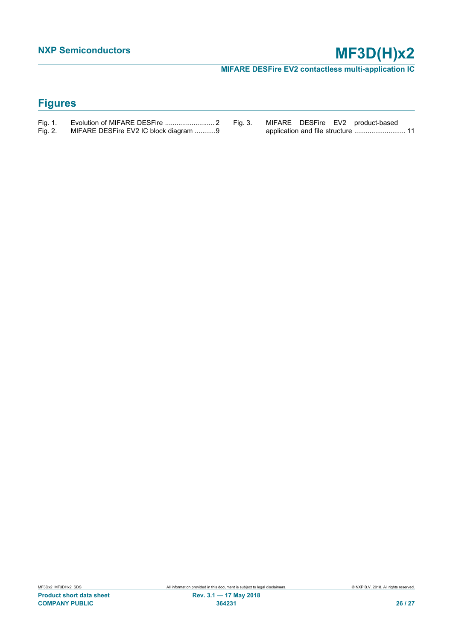**MIFARE DESFire EV2 contactless multi-application IC**

## **Figures**

| Fig. 1. |                                       |  |
|---------|---------------------------------------|--|
| Fig. 2. | MIFARE DESFire EV2 IC block diagram 9 |  |

[Fig. 3.](#page-10-0) [MIFARE DESFire EV2 product-based](#page-10-0) [application and file structure ...........................](#page-10-0)..... 11